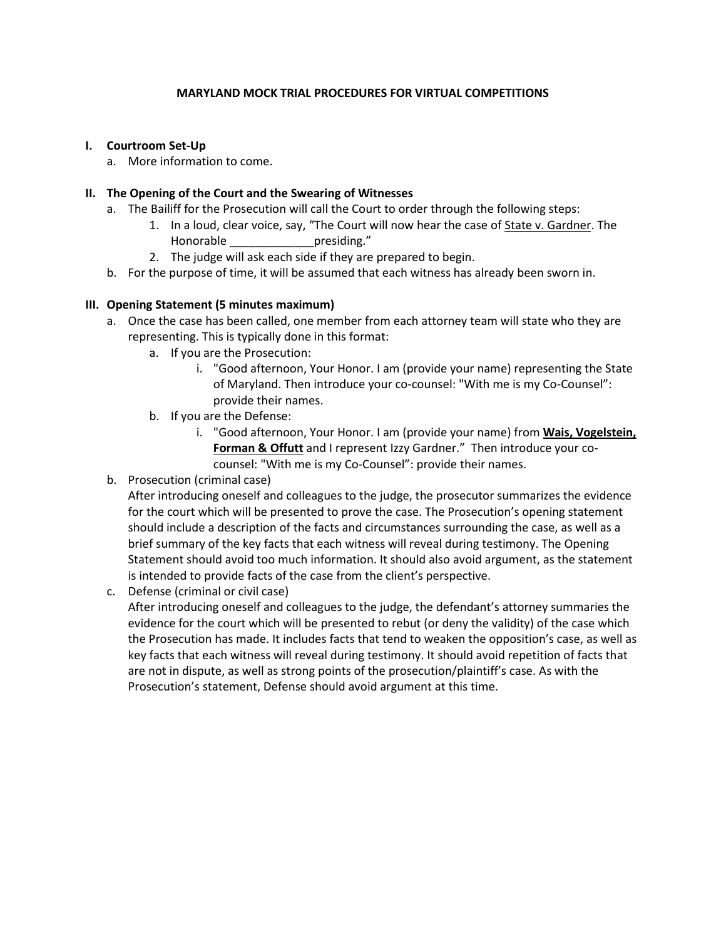# **MARYLAND MOCK TRIAL PROCEDURES FOR VIRTUAL COMPETITIONS**

## **I. Courtroom Set-Up**

a. More information to come.

# **II. The Opening of the Court and the Swearing of Witnesses**

- a. The Bailiff for the Prosecution will call the Court to order through the following steps:
	- 1. In a loud, clear voice, say, "The Court will now hear the case of State v. Gardner. The Honorable presiding."
	- 2. The judge will ask each side if they are prepared to begin.
- b. For the purpose of time, it will be assumed that each witness has already been sworn in.

# **III. Opening Statement (5 minutes maximum)**

- a. Once the case has been called, one member from each attorney team will state who they are representing. This is typically done in this format:
	- a. If you are the Prosecution:
		- i. "Good afternoon, Your Honor. I am (provide your name) representing the State of Maryland. Then introduce your co-counsel: "With me is my Co-Counsel": provide their names.
	- b. If you are the Defense:
		- i. "Good afternoon, Your Honor. I am (provide your name) from **Wais, Vogelstein, Forman & Offutt** and I represent Izzy Gardner." Then introduce your cocounsel: "With me is my Co-Counsel": provide their names.
- b. Prosecution (criminal case)

After introducing oneself and colleagues to the judge, the prosecutor summarizes the evidence for the court which will be presented to prove the case. The Prosecution's opening statement should include a description of the facts and circumstances surrounding the case, as well as a brief summary of the key facts that each witness will reveal during testimony. The Opening Statement should avoid too much information. It should also avoid argument, as the statement is intended to provide facts of the case from the client's perspective.

c. Defense (criminal or civil case)

After introducing oneself and colleagues to the judge, the defendant's attorney summaries the evidence for the court which will be presented to rebut (or deny the validity) of the case which the Prosecution has made. It includes facts that tend to weaken the opposition's case, as well as key facts that each witness will reveal during testimony. It should avoid repetition of facts that are not in dispute, as well as strong points of the prosecution/plaintiff's case. As with the Prosecution's statement, Defense should avoid argument at this time.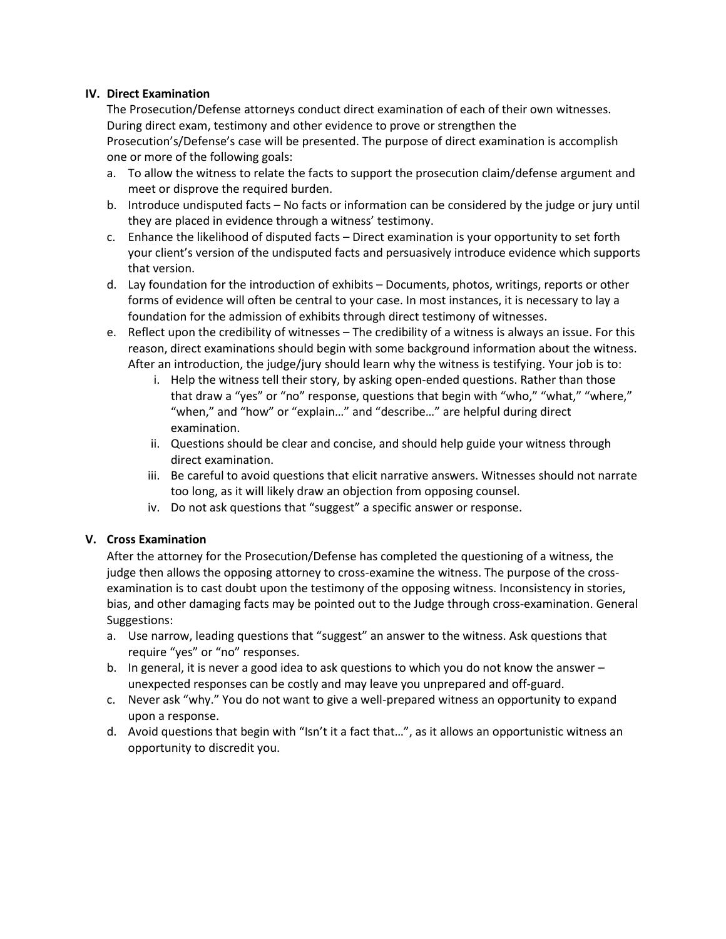## **IV. Direct Examination**

The Prosecution/Defense attorneys conduct direct examination of each of their own witnesses. During direct exam, testimony and other evidence to prove or strengthen the

Prosecution's/Defense's case will be presented. The purpose of direct examination is accomplish one or more of the following goals:

- a. To allow the witness to relate the facts to support the prosecution claim/defense argument and meet or disprove the required burden.
- b. Introduce undisputed facts No facts or information can be considered by the judge or jury until they are placed in evidence through a witness' testimony.
- c. Enhance the likelihood of disputed facts Direct examination is your opportunity to set forth your client's version of the undisputed facts and persuasively introduce evidence which supports that version.
- d. Lay foundation for the introduction of exhibits Documents, photos, writings, reports or other forms of evidence will often be central to your case. In most instances, it is necessary to lay a foundation for the admission of exhibits through direct testimony of witnesses.
- e. Reflect upon the credibility of witnesses The credibility of a witness is always an issue. For this reason, direct examinations should begin with some background information about the witness. After an introduction, the judge/jury should learn why the witness is testifying. Your job is to:
	- i. Help the witness tell their story, by asking open-ended questions. Rather than those that draw a "yes" or "no" response, questions that begin with "who," "what," "where," "when," and "how" or "explain…" and "describe…" are helpful during direct examination.
	- ii. Questions should be clear and concise, and should help guide your witness through direct examination.
	- iii. Be careful to avoid questions that elicit narrative answers. Witnesses should not narrate too long, as it will likely draw an objection from opposing counsel.
	- iv. Do not ask questions that "suggest" a specific answer or response.

## **V. Cross Examination**

After the attorney for the Prosecution/Defense has completed the questioning of a witness, the judge then allows the opposing attorney to cross-examine the witness. The purpose of the crossexamination is to cast doubt upon the testimony of the opposing witness. Inconsistency in stories, bias, and other damaging facts may be pointed out to the Judge through cross-examination. General Suggestions:

- a. Use narrow, leading questions that "suggest" an answer to the witness. Ask questions that require "yes" or "no" responses.
- b. In general, it is never a good idea to ask questions to which you do not know the answer unexpected responses can be costly and may leave you unprepared and off-guard.
- c. Never ask "why." You do not want to give a well-prepared witness an opportunity to expand upon a response.
- d. Avoid questions that begin with "Isn't it a fact that…", as it allows an opportunistic witness an opportunity to discredit you.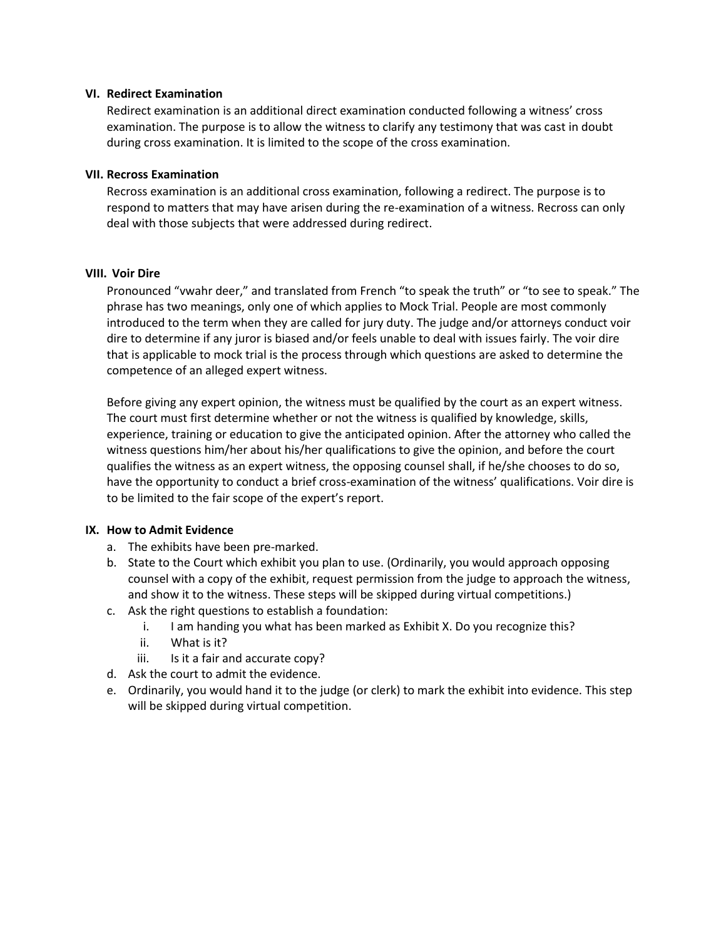#### **VI. Redirect Examination**

Redirect examination is an additional direct examination conducted following a witness' cross examination. The purpose is to allow the witness to clarify any testimony that was cast in doubt during cross examination. It is limited to the scope of the cross examination.

#### **VII. Recross Examination**

Recross examination is an additional cross examination, following a redirect. The purpose is to respond to matters that may have arisen during the re-examination of a witness. Recross can only deal with those subjects that were addressed during redirect.

#### **VIII. Voir Dire**

Pronounced "vwahr deer," and translated from French "to speak the truth" or "to see to speak." The phrase has two meanings, only one of which applies to Mock Trial. People are most commonly introduced to the term when they are called for jury duty. The judge and/or attorneys conduct voir dire to determine if any juror is biased and/or feels unable to deal with issues fairly. The voir dire that is applicable to mock trial is the process through which questions are asked to determine the competence of an alleged expert witness.

Before giving any expert opinion, the witness must be qualified by the court as an expert witness. The court must first determine whether or not the witness is qualified by knowledge, skills, experience, training or education to give the anticipated opinion. After the attorney who called the witness questions him/her about his/her qualifications to give the opinion, and before the court qualifies the witness as an expert witness, the opposing counsel shall, if he/she chooses to do so, have the opportunity to conduct a brief cross-examination of the witness' qualifications. Voir dire is to be limited to the fair scope of the expert's report.

## **IX. How to Admit Evidence**

- a. The exhibits have been pre-marked.
- b. State to the Court which exhibit you plan to use. (Ordinarily, you would approach opposing counsel with a copy of the exhibit, request permission from the judge to approach the witness, and show it to the witness. These steps will be skipped during virtual competitions.)
- c. Ask the right questions to establish a foundation:
	- i. I am handing you what has been marked as Exhibit X. Do you recognize this?
	- ii. What is it?
	- iii. Is it a fair and accurate copy?
- d. Ask the court to admit the evidence.
- e. Ordinarily, you would hand it to the judge (or clerk) to mark the exhibit into evidence. This step will be skipped during virtual competition.